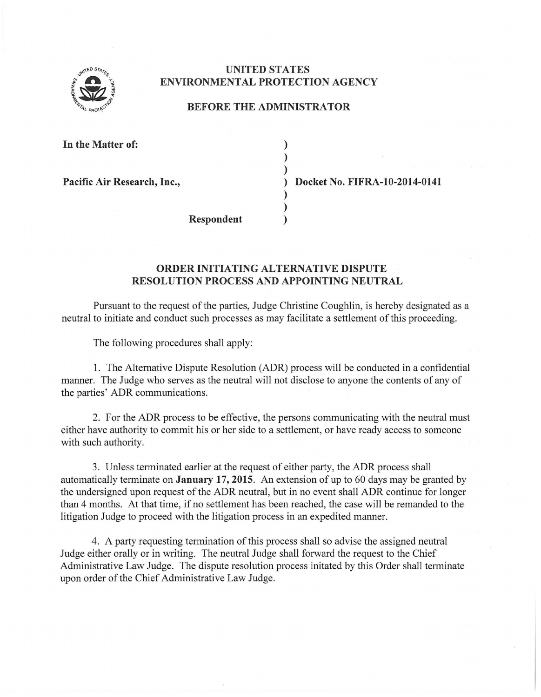

## **UNITED STATES ENVIRONMENTAL PROTECTION AGENCY**

## **BEFORE THE ADMINISTRATOR**

) ) )

> ) )

**In the Matter of:** 

**Pacific Air Research, Inc.,** ) **Docket** No. **FIFRA-10-2014-0141** 

**Respondent** )

## **ORDER INITIATING ALTERNATIVE DISPUTE RESOLUTION PROCESS AND APPOINTING NEUTRAL**

Pursuant to the request of the parties, Judge Christine Coughlin, is hereby designated as a neutral to initiate and conduct such processes as may facilitate a settlement of this proceeding.

The following procedures shall apply:

1. The Alternative Dispute Resolution (ADR) process will be conducted in a confidential manner. The Judge who serves as the neutral will not disclose to anyone the contents of any of the parties' ADR communications.

2. For the ADR process to be effective, the persons communicating with the neutral must either have authority to commit his or her side to a settlement, or have ready access to someone with such authority.

3. Unless terminated earlier at the request of either party, the ADR process shall automatically terminate on **January 17,2015.** An extension ofup to 60 days may be granted by the undersigned upon request of the ADR neutral, but in no event shall ADR continue for longer than 4 months. At that time, if no settlement has been reached, the case will be remanded to the litigation Judge to proceed with the litigation process in an expedited manner.

4. A party requesting termination of this process shall so advise the assigned neutral Judge either orally or in writing. The neutral Judge shall forward the request to the Chief Administrative Law Judge. The dispute resolution process initated by this Order shall terminate upon order of the Chief Administrative Law Judge.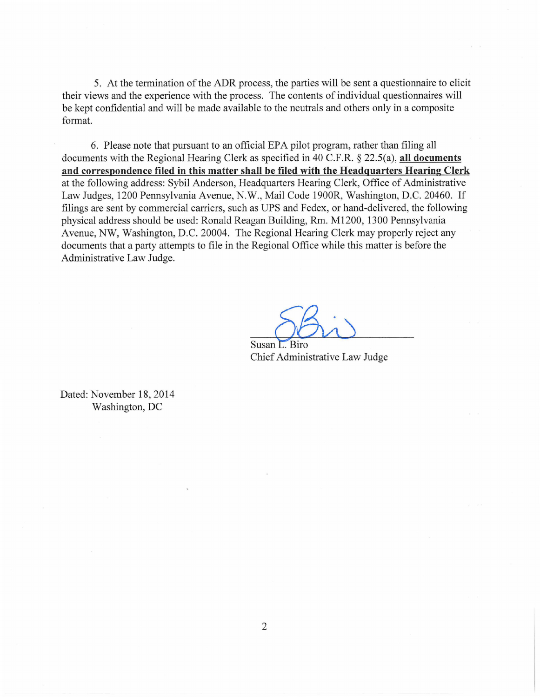5. At the termination of the ADR process, the parties will be sent a questionnaire to elicit their views and the experience with the process. The contents of individual questionnaires will be kept confidential and will be made available to the neutrals and others only in a composite format.

6. Please note that pursuant to an official EPA pilot program, rather than filing all documents with the Regional Hearing Clerk as specified in 40 C.F.R. § 22.5(a), **all documents and correspondence filed in this matter shall be filed with the Headquarters Hearing Clerk**  at the following address: Sybil Anderson, Headquarters Hearing Clerk, Office of Administrative Law Judges, 1200 Pennsylvania Avenue, N.W. , Mail Code 1900R, Washington, D.C. 20460. If filings are sent by commercial carriers, such as UPS and Fedex, or hand-delivered, the following physical address should be used: Ronald Reagan Building, Rm. M1200, 1300 Pennsylvania Avenue, NW, Washington, D.C. 20004. The Regional Hearing Clerk may properly reject any documents that a party attempts to file in the Regional Office while this matter is before the Administrative Law Judge.

Susan L. Biro<br>Chief Administrative Law Judge

Chief Administrative Law Judge

Dated: November 18, 2014 Washington, DC